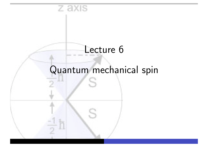# Lecture 6

z axıs

# Quantum mechanical spin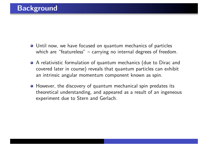- Until now, we have focused on quantum mechanics of particles which are "featureless" – carrying no internal degrees of freedom.
- A relativistic formulation of quantum mechanics (due to Dirac and covered later in course) reveals that quantum particles can exhibit an intrinsic angular momentum component known as spin.
- **•** However, the discovery of quantum mechanical spin predates its theoretical understanding, and appeared as a result of an ingeneous experiment due to Stern and Gerlach.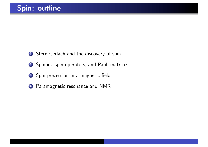- **1** Stern-Gerlach and the discovery of spin
- 2 Spinors, spin operators, and Pauli matrices
- 3 Spin precession in a magnetic field
- <sup>4</sup> Paramagnetic resonance and NMR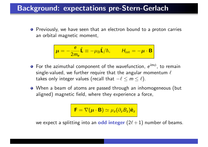#### Background: expectations pre-Stern-Gerlach

**•** Previously, we have seen that an electron bound to a proton carries an orbital magnetic moment,

$$
\mu = -\frac{e}{2m_e}\hat{\mathbf{L}} \equiv -\mu_\text{B}\hat{\mathbf{L}}/\hbar, \qquad H_{\text{int}} = -\mu \cdot \mathbf{B}
$$

- **●** For the azimuthal component of the wavefunction,  $e^{im\phi}$ , to remain single-valued, we further require that the angular momentum  $\ell$ takes only integer values (recall that  $-\ell \le m \le \ell$ ).
- When a beam of atoms are passed through an inhomogeneous (but aligned) magnetic field, where they experience a force,

 $\mathbf{F} = \nabla(\mu \cdot \mathbf{B}) \simeq \mu_z(\partial_z B_z) \hat{\mathbf{e}}_z$ 

we expect a splitting into an **odd integer**  $(2\ell + 1)$  number of beams.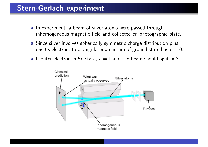## Stern-Gerlach experiment

- In experiment, a beam of silver atoms were passed through inhomogeneous magnetic field and collected on photographic plate.
- **•** Since silver involves spherically symmetric charge distribution plus one 5*s* electron, total angular momentum of ground state has  $L = 0$ .
- **O** If outer electron in 5p state,  $L = 1$  and the beam should split in 3.

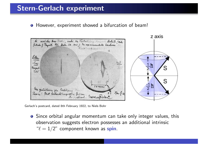## Stern-Gerlach experiment

However, experiment showed a bifurcation of beam!



Gerlach's postcard, dated 8th February 1922, to Niels Bohr

Since orbital angular momentum can take only integer values, this observation suggests electron possesses an additional intrinsic " $\ell = 1/2$ " component known as spin.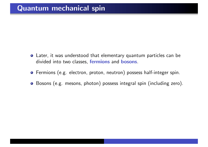- Later, it was understood that elementary quantum particles can be divided into two classes, fermions and bosons.
- Fermions (e.g. electron, proton, neutron) possess half-integer spin.
- Bosons (e.g. mesons, photon) possess integral spin (including zero).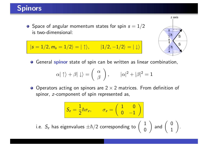# Spinors

**•** Space of angular momentum states for spin  $s = 1/2$ is two-dimensional:

$$
|s = 1/2, m_s = 1/2\rangle = |\uparrow\rangle, \qquad |1/2, -1/2\rangle = |\downarrow\rangle
$$



**O** General spinor state of spin can be written as linear combination,

$$
\alpha|\uparrow\rangle + \beta|\downarrow\rangle = \left(\begin{array}{c} \alpha\\ \beta \end{array}\right), \qquad |\alpha|^2 + |\beta|^2 = 1
$$

 $\bullet$  Operators acting on spinors are 2  $\times$  2 matrices. From definition of spinor, *z*-component of spin represented as,

$$
S_z = \frac{1}{2}\hbar\sigma_z, \qquad \sigma_z = \begin{pmatrix} 1 & 0 \\ 0 & -1 \end{pmatrix}
$$

i.e.  $\displaystyle S_z$  has eigenvalues  $\pm \hbar/2$  corresponding to  $\left( \begin{array}{c} 1 \ 0 \end{array} \right)$ 

$$
\text{and} \ \left( \begin{array}{c} 0 \\ 1 \end{array} \right).
$$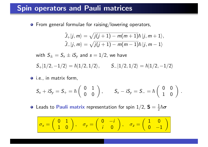#### Spin operators and Pauli matrices

 $\bullet$  From general formulae for raising/lowering operators,

$$
\hat{J}_+|j,m\rangle = \sqrt{j(j+1) - m(m+1)}\hbar |j,m+1\rangle,
$$
  

$$
\hat{J}_-|j,m\rangle = \sqrt{j(j+1) - m(m-1)}\hbar |j,m-1\rangle
$$

with  $S_{\pm} = S_{\times} \pm iS_{\nu}$  and  $s = 1/2$ , we have

 $S_+|1/2,-1/2\rangle = \hbar|1/2,1/2\rangle, \qquad S_-|1/2,1/2\rangle = \hbar|1/2,-1/2\rangle$ 

**o** i.e., in matrix form,

$$
S_x+iS_y=S_+=\hbar\left(\begin{array}{cc}0&1\\0&0\end{array}\right),\qquad S_x-iS_y=S_-=\hbar\left(\begin{array}{cc}0&0\\1&0\end{array}\right)\,.
$$

Leads to Pauli matrix representation for spin  $1/2$ ,  ${\sf S} = \frac{1}{2} \hbar {\bm \sigma}$ 

$$
\sigma_x = \begin{pmatrix} 0 & 1 \\ 1 & 0 \end{pmatrix}, \quad \sigma_y = \begin{pmatrix} 0 & -i \\ i & 0 \end{pmatrix}, \quad \sigma_z = \begin{pmatrix} 1 & 0 \\ 0 & -1 \end{pmatrix}
$$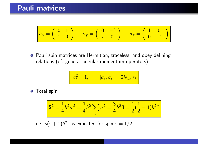$$
\sigma_x = \begin{pmatrix} 0 & 1 \\ 1 & 0 \end{pmatrix}, \quad \sigma_y = \begin{pmatrix} 0 & -i \\ i & 0 \end{pmatrix}, \quad \sigma_z = \begin{pmatrix} 1 & 0 \\ 0 & -1 \end{pmatrix}
$$

**•** Pauli spin matrices are Hermitian, traceless, and obey defining relations (cf. general angular momentum operators):

$$
\sigma_i^2 = \mathbb{I}, \qquad [\sigma_i, \sigma_j] = 2i\epsilon_{ijk}\sigma_k
$$

Total spin

$$
\mathbf{S}^2 = \frac{1}{4}\hbar^2 \boldsymbol{\sigma}^2 = \frac{1}{4}\hbar^2 \sum_i \sigma_i^2 = \frac{3}{4}\hbar^2 \mathbb{I} = \frac{1}{2}(\frac{1}{2} + 1)\hbar^2 \mathbb{I}
$$

i.e.  $s(s+1)\hbar^2$ , as expected for spin  $s=1/2$ .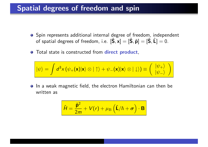### Spatial degrees of freedom and spin

- **O** Spin represents additional internal degree of freedom, independent of spatial degrees of freedom, i.e.  $[\hat{S}, x] = [\hat{S}, \hat{p}] = [\hat{S}, \hat{L}] = 0.$
- **•** Total state is constructed from **direct product**,

$$
|\psi\rangle = \int d^3x \left(\psi_+(\mathbf{x})|\mathbf{x}\rangle \otimes |\uparrow\rangle + \psi_-(\mathbf{x})|\mathbf{x}\rangle \otimes |\downarrow\rangle\right) \equiv \left(\begin{array}{c} |\psi_+\rangle \\ |\psi_-\rangle \end{array}\right)
$$

**•** In a weak magnetic field, the electron Hamiltonian can then be written as

$$
\hat{H} = \frac{\hat{\mathbf{p}}^2}{2m} + V(r) + \mu_\text{B} \left( \hat{\mathbf{L}}/\hbar + \boldsymbol{\sigma} \right) \cdot \mathbf{B}
$$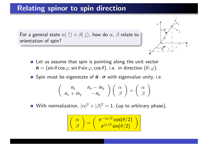### Relating spinor to spin direction

For a general state  $\alpha|\uparrow\rangle + \beta|\downarrow\rangle$ , how do  $\alpha$ ,  $\beta$  relate to orientation of spin?



- Let us assume that spin is pointing along the unit vector  $\hat{\mathbf{n}} = (\sin \theta \cos \varphi, \sin \theta \sin \varphi, \cos \theta)$ , i.e. in direction  $(\theta, \varphi)$ .
- **O** Spin must be eigenstate of  $\hat{\mathbf{n}} \cdot \boldsymbol{\sigma}$  with eigenvalue unity, i.e.

$$
\begin{pmatrix} n_z & n_x - in_y \\ n_x + in_y & -n_z \end{pmatrix} \begin{pmatrix} \alpha \\ \beta \end{pmatrix} = \begin{pmatrix} \alpha \\ \beta \end{pmatrix}
$$

With normalization,  $|\alpha|^2+|\beta|^2=1$ , (up to arbitrary phase),

$$
\left(\begin{array}{c} \alpha \\ \beta \end{array}\right) = \left(\begin{array}{c} e^{-i\varphi/2}\cos(\theta/2) \\ e^{i\varphi/2}\sin(\theta/2) \end{array}\right)
$$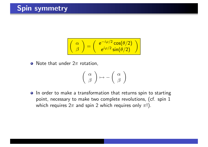# Spin symmetry

$$
\begin{pmatrix} \alpha \\ \beta \end{pmatrix} = \begin{pmatrix} e^{-i\varphi/2} \cos(\theta/2) \\ e^{i\varphi/2} \sin(\theta/2) \end{pmatrix}
$$

• Note that under  $2\pi$  rotation,

$$
\left(\begin{array}{c} \alpha \\ \beta \end{array}\right) \mapsto -\left(\begin{array}{c} \alpha \\ \beta \end{array}\right)
$$

**O** In order to make a transformation that returns spin to starting point, necessary to make two complete revolutions, (cf. spin 1 which requires  $2\pi$  and spin 2 which requires only  $\pi$ !).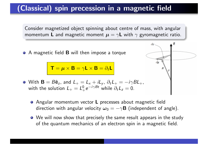# (Classical) spin precession in a magnetic field

Consider magnetized object spinning about centre of mass, with angular momentum **L** and magnetic moment  $\mu = \gamma \mathbf{L}$  with  $\gamma$  gyromagnetic ratio.

do

du

● A magnetic field **B** will then impose a torque

 $\mathbf{T} = \boldsymbol{\mu} \times \mathbf{B} = \gamma \mathbf{L} \times \mathbf{B} = \partial_t \mathbf{L}$ 



- **•** Angular momentum vector **L** precesses about magnetic field direction with angular velocity  $\omega_0 = -\gamma \mathbf{B}$  (independent of angle).
- We will now show that precisely the same result appears in the study of the quantum mechanics of an electron spin in a magnetic field.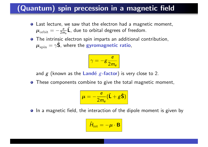# (Quantum) spin precession in a magnetic field

- Last lecture, we saw that the electron had a magnetic moment,  $\boldsymbol{\mu}_{\rm orbit}=-\frac{e}{2m_e}\hat{\boldsymbol{\sf L}}$ , due to orbital degrees of freedom.
- The intrinsic electron spin imparts an additional contribution,  $\mu_{\text{spin}} = \gamma \hat{\mathsf{S}}$ , where the gyromagnetic ratio,

$$
\gamma = -g \frac{e}{2m_e}
$$

and  $g$  (known as the Landé  $g$ -factor) is very close to 2.

**•** These components combine to give the total magnetic moment,

$$
\mu = -\frac{e}{2m_e}(\hat{\mathbf{L}} + g\hat{\mathbf{S}})
$$

• In a magnetic field, the interaction of the dipole moment is given by

$$
\hat{H}_{\rm int} = -\mu \cdot \mathbf{B}
$$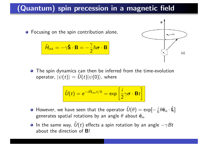# (Quantum) spin precession in a magnetic field

**•** Focusing on the spin contribution alone,

$$
\hat{H}_{\text{int}} = -\gamma \hat{\mathbf{S}} \cdot \mathbf{B} = -\frac{\gamma}{2} \hbar \boldsymbol{\sigma} \cdot \mathbf{B}
$$



**•** The spin dynamics can then be inferred from the time-evolution operator,  $|\psi(t)\rangle = \hat{U}(t)|\psi(0)\rangle$ , where

$$
\hat{U}(t) = e^{-i\hat{H}_{\rm int}t/\hbar} = \exp\left[\frac{i}{2}\gamma\boldsymbol{\sigma}\cdot\mathbf{B}t\right]
$$

- However, we have seen that the operator  $\hat{U}(\theta) = \exp[-\frac{i}{\hbar}\theta\hat{\mathbf{e}}_n\cdot\hat{\mathbf{L}}]$ generates spatial rotations by an angle  $\theta$  about  $\hat{\mathbf{e}}_n$ .
- $\bullet$  In the same way,  $\hat{U}(t)$  effects a spin rotation by an angle  $-\gamma B t$ about the direction of B!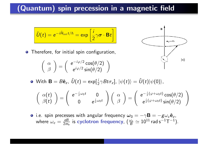# (Quantum) spin precession in a magnetic field

$$
\hat{U}(t) = e^{-i\hat{H}_{\rm int}t/\hbar} = \exp\left[\frac{i}{2}\gamma\boldsymbol{\sigma}\cdot\mathbf{B}t\right]
$$

**•** Therefore, for initial spin configuration,

$$
\left(\begin{array}{c} \alpha \\ \beta \end{array}\right) = \left(\begin{array}{c} e^{-i\varphi/2} \cos(\theta/2) \\ e^{i\varphi/2} \sin(\theta/2) \end{array}\right)
$$



 $\mathsf{With}\ \mathbf{B}=B\mathbf{\hat{e}}_z,\ \hat{U}(t)=\exp[\frac{i}{2}\gamma Bt\sigma_z],\ |\psi(t)\rangle=\hat{U}(t)|\psi(0)\rangle,$ 

$$
\begin{pmatrix}\n\alpha(t) \\
\beta(t)\n\end{pmatrix} = \begin{pmatrix}\ne^{-\frac{i}{2}\omega_0 t} & 0 \\
0 & e^{\frac{i}{2}\omega_0 t}\n\end{pmatrix} \begin{pmatrix}\n\alpha \\
\beta\n\end{pmatrix} = \begin{pmatrix}\ne^{-\frac{i}{2}(\varphi + \omega_0 t)} \cos(\theta/2) \\
e^{\frac{i}{2}(\varphi + \omega_0 t)} \sin(\theta/2)\n\end{pmatrix}
$$

• i.e. spin precesses with angular frequency  $\omega_0 = -\gamma \mathbf{B} = -g\omega_c \hat{\mathbf{e}}_z$ , where  $\omega_c=\frac{eB}{2m}$  $\frac{eB}{2m_e}$  is cyclotron frequency,  $(\frac{\omega_c}{B}\simeq 10^{11}$  rad s<sup>-1</sup>T<sup>-1</sup>).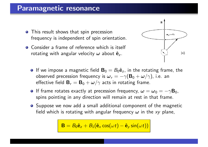#### Paramagnetic resonance

- **•** This result shows that spin precession frequency is independent of spin orientation.
- Consider a frame of reference which is itself rotating with angular velocity  $\omega$  about  $\hat{\mathbf{e}}_z$ .



- **O** If we impose a magnetic field  $\mathbf{B}_0 = B_0 \hat{\mathbf{e}}_z$ , in the rotating frame, the observed precession frequency is  $\omega_r = -\gamma(\mathbf{B}_0 + \omega/\gamma)$ , i.e. an effective field  $\mathbf{B}_r = \mathbf{B}_0 + \boldsymbol{\omega}/\gamma$  acts in rotating frame.
- **If frame rotates exactly at precession frequency,**  $\boldsymbol{\omega} = \boldsymbol{\omega}_0 = -\gamma \mathbf{B}_0$ **,** spins pointing in any direction will remain at rest in that frame.
- Suppose we now add a small additional component of the magnetic field which is rotating with angular frequency  $\omega$  in the  $xy$  plane,

$$
\mathbf{B}=B_0\hat{\mathbf{e}}_z+B_1(\hat{\mathbf{e}}_x\cos(\omega t)-\hat{\mathbf{e}}_y\sin(\omega t))
$$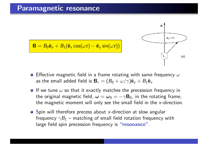#### Paramagnetic resonance



 $\mathbf{B} = B_0 \hat{\mathbf{e}}_z + B_1(\hat{\mathbf{e}}_x \cos(\omega t) - \hat{\mathbf{e}}_y \sin(\omega t))$ 

- **•** Effective magnetic field in a frame rotating with same frequency  $\omega$ as the small added field is  $\mathbf{B}_r = (B_0 + \omega/\gamma)\hat{\mathbf{e}}_z + B_1\hat{\mathbf{e}}_x$
- **If** we tune  $\omega$  so that it exactly matches the precession frequency in the original magnetic field,  $\omega = \omega_0 = -\gamma B_0$ , in the rotating frame, the magnetic moment will only see the small field in the *x*-direction.
- **•** Spin will therefore precess about *x*-direction at slow angular frequency  $\gamma B_1$  – matching of small field rotation frequency with large field spin precession frequency is "resonance".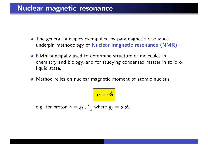#### Nuclear magnetic resonance

- The general principles exemplified by paramagnetic resonance underpin methodology of Nuclear magnetic resonance (NMR).
- NMR principally used to determine structure of molecules in chemistry and biology, and for studying condensed matter in solid or liquid state.
- Method relies on nuclear magnetic moment of atomic nucleus,

$$
\mu = \gamma \hat{\mathbf{S}}
$$

e.g. for proton  $\gamma = g_P \frac{e}{2\eta}$  $\frac{e}{2m_p}$  where  $g_p=5.59$ .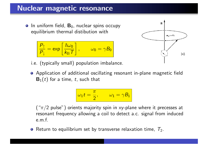#### Nuclear magnetic resonance

 $\bullet$  In uniform field,  $B_0$ , nuclear spins occupy equilibrium thermal distibution with

$$
\frac{P_{\uparrow}}{P_{\downarrow}} = \exp\left[\frac{\hbar\omega_0}{k_{\rm B}T}\right], \qquad \omega_0 = \gamma B_0
$$



- i.e. (typically small) population imbalance.
- Application of additional oscillating resonant in-plane magnetic field  $B_1(t)$  for a time, t, such that

$$
\boxed{\omega_1 t = \frac{\pi}{2}, \qquad \omega_1 = \gamma B_1}
$$

 $("π/2 pulse")$  orients majority spin in xy-plane where it precesses at resonant frequency allowing a coil to detect a.c. signal from induced e.m.f.

**•** Return to equilibrium set by transverse relaxation time,  $T_2$ .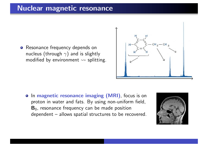#### Nuclear magnetic resonance

**•** Resonance frequency depends on nucleus (through  $\gamma$ ) and is slightly modified by environment  $\rightsquigarrow$  splitting.



**•** In magnetic resonance imaging (MRI), focus is on proton in water and fats. By using non-uniform field,  $B_0$ , resonance frequency can be made position dependent – allows spatial structures to be recovered.